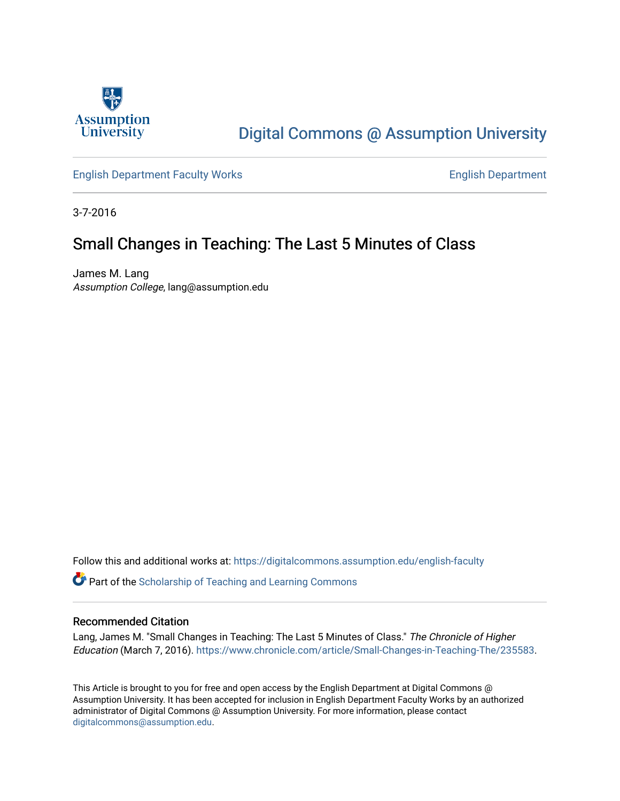

# [Digital Commons @ Assumption University](https://digitalcommons.assumption.edu/)

[English Department Faculty Works](https://digitalcommons.assumption.edu/english-faculty) **English Department** 

3-7-2016

# Small Changes in Teaching: The Last 5 Minutes of Class

James M. Lang Assumption College, lang@assumption.edu

Follow this and additional works at: [https://digitalcommons.assumption.edu/english-faculty](https://digitalcommons.assumption.edu/english-faculty?utm_source=digitalcommons.assumption.edu%2Fenglish-faculty%2F8&utm_medium=PDF&utm_campaign=PDFCoverPages) 

**P** Part of the Scholarship of Teaching and Learning Commons

## Recommended Citation

Lang, James M. "Small Changes in Teaching: The Last 5 Minutes of Class." The Chronicle of Higher Education (March 7, 2016). [https://www.chronicle.com/article/Small-Changes-in-Teaching-The/235583.](https://www.chronicle.com/article/Small-Changes-in-Teaching-The/235583)

This Article is brought to you for free and open access by the English Department at Digital Commons @ Assumption University. It has been accepted for inclusion in English Department Faculty Works by an authorized administrator of Digital Commons @ Assumption University. For more information, please contact [digitalcommons@assumption.edu](mailto:digitalcommons@assumption.edu).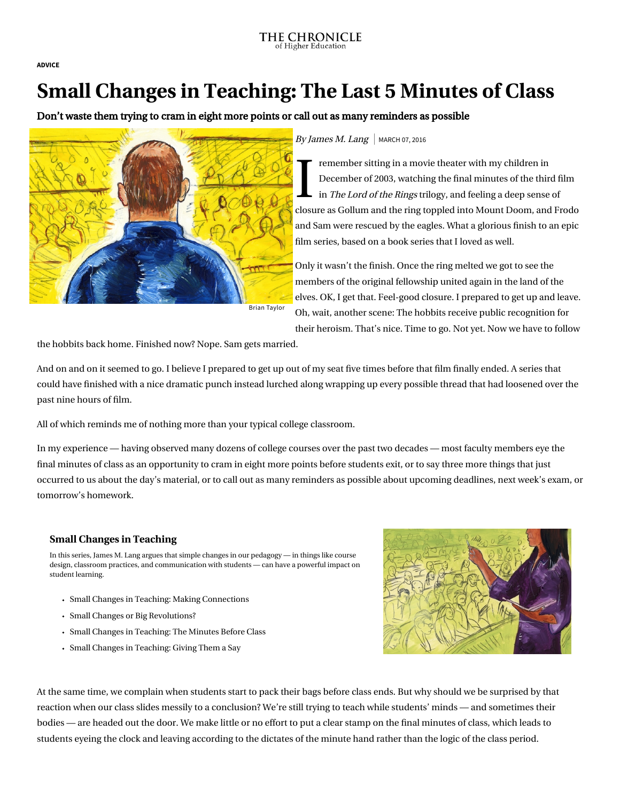#### THE CHRONICLE of Higher Education

[ADVICE](https://www.chronicle.com/section/Advice/66)

# Small Changes in Teaching: The Last 5 Minutes of Class

Don't waste them trying to cram in eight more points or call out as many reminders as possible



### By James M. Lang  $\vert$  MARCH 07, 2016

I ren<br>Dec<br>in 1 remember sitting in a movie theater with my children in December of 2003, watching the final minutes of the third film in The Lord of the Rings trilogy, and feeling a deep sense of closure as Gollum and the ring toppled into Mount Doom, and Frodo and Sam were rescued by the eagles. What a glorious finish to an epic film series, based on a book series that I loved as well.

Only it wasn't the finish. Once the ring melted we got to see the members of the original fellowship united again in the land of the elves. OK, I get that. Feel-good closure. I prepared to get up and leave. Oh, wait, another scene: The hobbits receive public recognition for their heroism. That's nice. Time to go. Not yet. Now we have to follow

the hobbits back home. Finished now? Nope. Sam gets married.

And on and on it seemed to go. I believe I prepared to get up out of my seat five times before that film finally ended. A series that could have finished with a nice dramatic punch instead lurched along wrapping up every possible thread that had loosened over the past nine hours of film.

All of which reminds me of nothing more than your typical college classroom.

In my experience — having observed many dozens of college courses over the past two decades — most faculty members eye the final minutes of class as an opportunity to cram in eight more points before students exit, or to say three more things that just occurred to us about the day's material, or to call out as many reminders as possible about upcoming deadlines, next week's exam, or tomorrow's homework.

## [Small Changes in Teaching](https://www.chronicle.com/specialreport/Small-Changes-in-Teaching/44?cid=RCPACKAGE)

In this series, James M. Lang argues that simple changes in our pedagogy — in things like course design, classroom practices, and communication with students — can have a powerful impact on student learning.

- [Small Changes in Teaching: Making Connections](https://www.chronicle.com/article/Small-Changes-in-Teaching-/235230?cid=RCPACKAGE)
- [Small Changes or Big Revolutions?](https://www.chronicle.com/article/Small-Changes-or-Big/236839?cid=RCPACKAGE)
- [Small Changes in Teaching: The Minutes Before Class](https://www.chronicle.com/article/Small-Changes-in-Teaching-The/234178?cid=RCPACKAGE)
- [Small Changes in Teaching: Giving Them a Say](https://www.chronicle.com/article/Small-Changes-in-Teaching-/235918?cid=RCPACKAGE)



At the same time, we complain when students start to pack their bags before class ends. But why should we be surprised by that reaction when our class slides messily to a conclusion? We're still trying to teach while students' minds — and sometimes their bodies — are headed out the door. We make little or no effort to put a clear stamp on the final minutes of class, which leads to students eyeing the clock and leaving according to the dictates of the minute hand rather than the logic of the class period.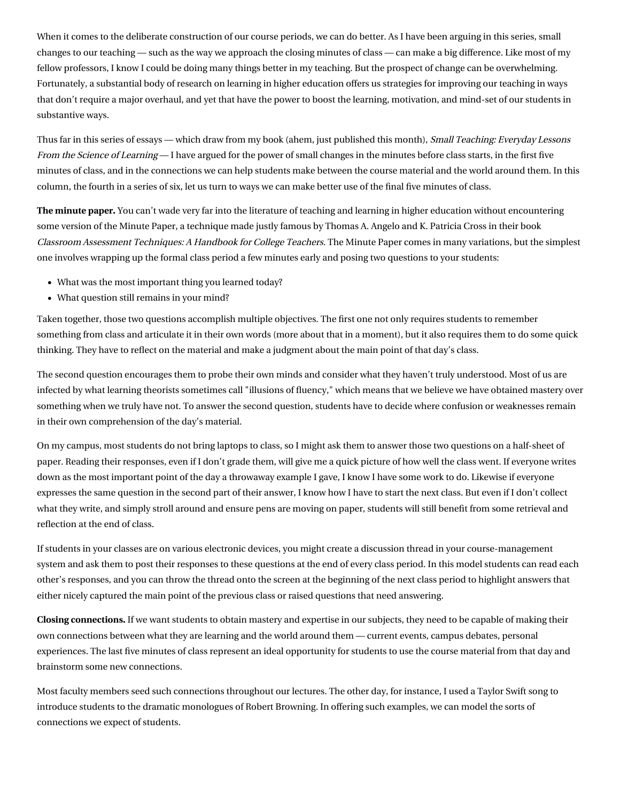When it comes to the deliberate construction of our course periods, we can do better. As I have been arguing in this series, small changes to our teaching — such as the way we approach the closing minutes of class — can make a big difference. Like most of my fellow professors, I know I could be doing many things better in my teaching. But the prospect of change can be overwhelming. Fortunately, a substantial body of research on learning in higher education offers us strategies for improving our teaching in ways that don't require a major overhaul, and yet that have the power to boost the learning, motivation, and mind-set of our students in substantive ways.

Thus far in this series of essays — which draw from my book (ahem, [just published this month\)](http://www.amazon.com/Small-Teaching-Everyday-Lessons-Learning/dp/1118944496/), Small Teaching: Everyday Lessons From the Science of Learning — I have argued for the power of small changes in the [minutes before class starts](http://chronicle.com/article/Small-Changes-in-Teaching-The/234869), in the first five [minutes of class, and in the connections we can help students make between the course material and the world around them. I](http://chronicle.com/article/Small-Changes-in-Teaching-The/234178)n this column, the fourth in a series of six, let us turn to ways we can make better use of the final five minutes of class.

The minute paper. You can't wade very far into the literature of teaching and learning in higher education without encountering some version of the Minute Paper, a technique made justly famous by Thomas A. Angelo and K. Patricia Cross in their book [Classroom Assessment Techniques: A Handbook for College Teachers.](http://www.amazon.com/Classroom-Assessment-Techniques-Handbook-Teachers/dp/1555425003/) The Minute Paper comes in many variations, but the simplest one involves wrapping up the formal class period a few minutes early and posing two questions to your students:

- What was the most important thing you learned today?
- What question still remains in your mind?

Taken together, those two questions accomplish multiple objectives. The first one not only requires students to remember something from class and articulate it in their own words (more about that in a moment), but it also requires them to do some quick thinking. They have to reflect on the material and make a judgment about the main point of that day's class.

The second question encourages them to probe their own minds and consider what they haven't truly understood. Most of us are infected by what learning theorists sometimes call "illusions of fluency," which means that we believe we have obtained mastery over something when we truly have not. To answer the second question, students have to decide where confusion or weaknesses remain in their own comprehension of the day's material.

On my campus, most students do not bring laptops to class, so I might ask them to answer those two questions on a half-sheet of paper. Reading their responses, even if I don't grade them, will give me a quick picture of how well the class went. If everyone writes down as the most important point of the day a throwaway example I gave, I know I have some work to do. Likewise if everyone expresses the same question in the second part of their answer, I know how I have to start the next class. But even if I don't collect what they write, and simply stroll around and ensure pens are moving on paper, students will still benefit from some retrieval and reflection at the end of class.

If students in your classes are on various electronic devices, you might create a discussion thread in your course-management system and ask them to post their responses to these questions at the end of every class period. In this model students can read each other's responses, and you can throw the thread onto the screen at the beginning of the next class period to highlight answers that either nicely captured the main point of the previous class or raised questions that need answering.

Closing connections. If we want students to obtain mastery and expertise in our subjects, they need to be capable of making their [own connections between what they are learning and the world around them — current events, campus debates, personal](http://chronicle.com/article/Small-Changes-in-Teaching-/235230) experiences. The last five minutes of class represent an ideal opportunity for students to use the course material from that day and brainstorm some new connections.

Most faculty members seed such connections throughout our lectures. The other day, for instance, I used a Taylor Swift song to introduce students to the dramatic monologues of Robert Browning. In offering such examples, we can model the sorts of connections we expect of students.